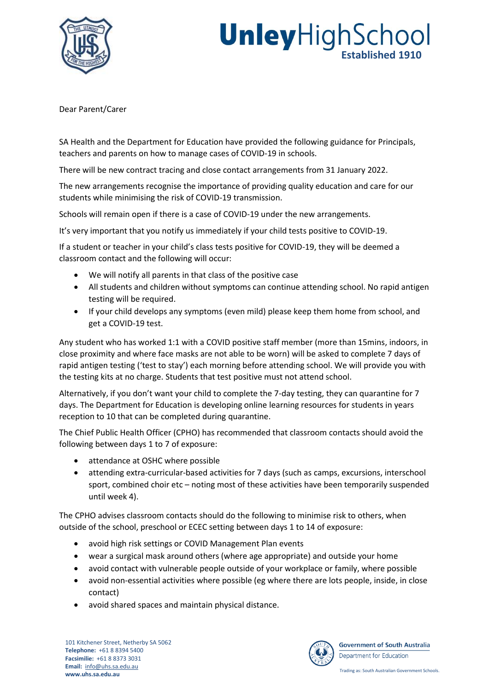

## **Unley**HighSchool **Established 1910**

Dear Parent/Carer

SA Health and the Department for Education have provided the following guidance for Principals, teachers and parents on how to manage cases of COVID-19 in schools.

There will be new contract tracing and close contact arrangements from 31 January 2022.

The new arrangements recognise the importance of providing quality education and care for our students while minimising the risk of COVID-19 transmission.

Schools will remain open if there is a case of COVID-19 under the new arrangements.

It's very important that you notify us immediately if your child tests positive to COVID-19.

If a student or teacher in your child's class tests positive for COVID-19, they will be deemed a classroom contact and the following will occur:

- We will notify all parents in that class of the positive case
- All students and children without symptoms can continue attending school. No rapid antigen testing will be required.
- If your child develops any symptoms (even mild) please keep them home from school, and get a COVID-19 test.

Any student who has worked 1:1 with a COVID positive staff member (more than 15mins, indoors, in close proximity and where face masks are not able to be worn) will be asked to complete 7 days of rapid antigen testing ('test to stay') each morning before attending school. We will provide you with the testing kits at no charge. Students that test positive must not attend school.

Alternatively, if you don't want your child to complete the 7-day testing, they can quarantine for 7 days. The Department for Education is developing online learning resources for students in years reception to 10 that can be completed during quarantine.

The Chief Public Health Officer (CPHO) has recommended that classroom contacts should avoid the following between days 1 to 7 of exposure:

- attendance at OSHC where possible
- attending extra-curricular-based activities for 7 days (such as camps, excursions, interschool sport, combined choir etc – noting most of these activities have been temporarily suspended until week 4).

The CPHO advises classroom contacts should do the following to minimise risk to others, when outside of the school, preschool or ECEC setting between days 1 to 14 of exposure:

- avoid high risk settings or COVID Management Plan events
- wear a surgical mask around others (where age appropriate) and outside your home
- avoid contact with vulnerable people outside of your workplace or family, where possible
- avoid non-essential activities where possible (eg where there are lots people, inside, in close contact)
- avoid shared spaces and maintain physical distance.